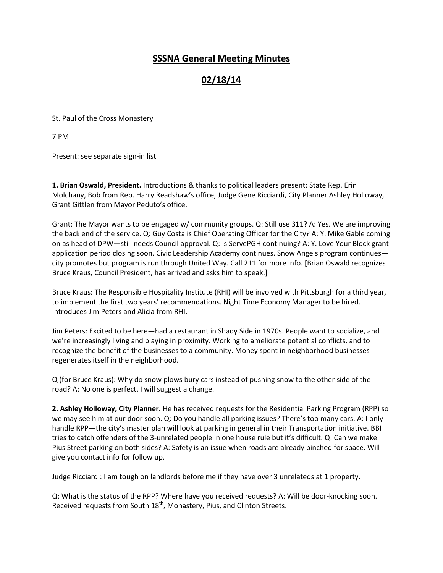## SSSNA General Meeting Minutes

## 02/18/14

St. Paul of the Cross Monastery

7 PM

Present: see separate sign-in list

1. Brian Oswald, President. Introductions & thanks to political leaders present: State Rep. Erin Molchany, Bob from Rep. Harry Readshaw's office, Judge Gene Ricciardi, City Planner Ashley Holloway, Grant Gittlen from Mayor Peduto's office.

Grant: The Mayor wants to be engaged w/ community groups. Q: Still use 311? A: Yes. We are improving the back end of the service. Q: Guy Costa is Chief Operating Officer for the City? A: Y. Mike Gable coming on as head of DPW—still needs Council approval. Q: Is ServePGH continuing? A: Y. Love Your Block grant application period closing soon. Civic Leadership Academy continues. Snow Angels program continues city promotes but program is run through United Way. Call 211 for more info. [Brian Oswald recognizes Bruce Kraus, Council President, has arrived and asks him to speak.]

Bruce Kraus: The Responsible Hospitality Institute (RHI) will be involved with Pittsburgh for a third year, to implement the first two years' recommendations. Night Time Economy Manager to be hired. Introduces Jim Peters and Alicia from RHI.

Jim Peters: Excited to be here—had a restaurant in Shady Side in 1970s. People want to socialize, and we're increasingly living and playing in proximity. Working to ameliorate potential conflicts, and to recognize the benefit of the businesses to a community. Money spent in neighborhood businesses regenerates itself in the neighborhood.

Q (for Bruce Kraus): Why do snow plows bury cars instead of pushing snow to the other side of the road? A: No one is perfect. I will suggest a change.

2. Ashley Holloway, City Planner. He has received requests for the Residential Parking Program (RPP) so we may see him at our door soon. Q: Do you handle all parking issues? There's too many cars. A: I only handle RPP—the city's master plan will look at parking in general in their Transportation initiative. BBI tries to catch offenders of the 3-unrelated people in one house rule but it's difficult. Q: Can we make Pius Street parking on both sides? A: Safety is an issue when roads are already pinched for space. Will give you contact info for follow up.

Judge Ricciardi: I am tough on landlords before me if they have over 3 unrelateds at 1 property.

Q: What is the status of the RPP? Where have you received requests? A: Will be door-knocking soon. Received requests from South 18<sup>th</sup>, Monastery, Pius, and Clinton Streets.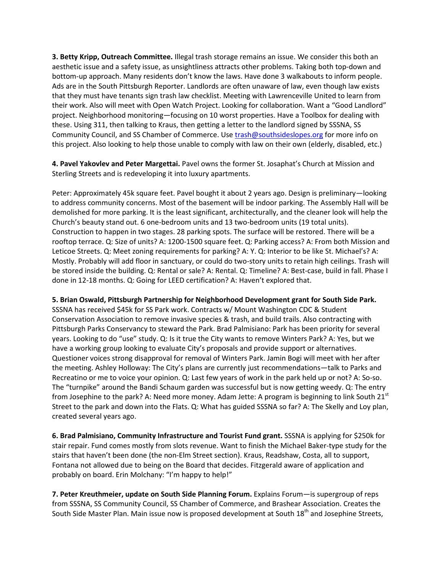**3. Betty Kripp, Outreach Committee.** Illegal trash storage remains an issue. We consider this both an aesthetic issue and a safety issue, as unsightliness attracts other problems. Taking both top-down and bottom-up approach. Many residents don't know the laws. Have done 3 walkabouts to inform people. Ads are in the South Pittsburgh Reporter. Landlords are often unaware of law, even though law exists that they must have tenants sign trash law checklist. Meeting with Lawrenceville United to learn from their work. Also will meet with Open Watch Project. Looking for collaboration. Want a "Good Landlord" project. Neighborhood monitoring—focusing on 10 worst properties. Have a Toolbox for dealing with these. Using 311, then talking to Kraus, then getting a letter to the landlord signed by SSSNA, SS Community Council, and SS Chamber of Commerce. Use trash@southsideslopes.org for more info on this project. Also looking to help those unable to comply with law on their own (elderly, disabled, etc.)

4. Pavel Yakovlev and Peter Margettai. Pavel owns the former St. Josaphat's Church at Mission and Sterling Streets and is redeveloping it into luxury apartments.

Peter: Approximately 45k square feet. Pavel bought it about 2 years ago. Design is preliminary—looking to address community concerns. Most of the basement will be indoor parking. The Assembly Hall will be demolished for more parking. It is the least significant, architecturally, and the cleaner look will help the Church's beauty stand out. 6 one-bedroom units and 13 two-bedroom units (19 total units). Construction to happen in two stages. 28 parking spots. The surface will be restored. There will be a rooftop terrace. Q: Size of units? A: 1200-1500 square feet. Q: Parking access? A: From both Mission and Leticoe Streets. Q: Meet zoning requirements for parking? A: Y. Q: Interior to be like St. Michael's? A: Mostly. Probably will add floor in sanctuary, or could do two-story units to retain high ceilings. Trash will be stored inside the building. Q: Rental or sale? A: Rental. Q: Timeline? A: Best-case, build in fall. Phase I done in 12-18 months. Q: Going for LEED certification? A: Haven't explored that.

## 5. Brian Oswald, Pittsburgh Partnership for Neighborhood Development grant for South Side Park.

SSSNA has received \$45k for SS Park work. Contracts w/ Mount Washington CDC & Student Conservation Association to remove invasive species & trash, and build trails. Also contracting with Pittsburgh Parks Conservancy to steward the Park. Brad Palmisiano: Park has been priority for several years. Looking to do "use" study. Q: Is it true the City wants to remove Winters Park? A: Yes, but we have a working group looking to evaluate City's proposals and provide support or alternatives. Questioner voices strong disapproval for removal of Winters Park. Jamin Bogi will meet with her after the meeting. Ashley Holloway: The City's plans are currently just recommendations—talk to Parks and Recreatino or me to voice your opinion. Q: Last few years of work in the park held up or not? A: So-so. The "turnpike" around the Bandi Schaum garden was successful but is now getting weedy. Q: The entry from Josephine to the park? A: Need more money. Adam Jette: A program is beginning to link South 21<sup>st</sup> Street to the park and down into the Flats. Q: What has guided SSSNA so far? A: The Skelly and Loy plan, created several years ago.

6. Brad Palmisiano, Community Infrastructure and Tourist Fund grant. SSSNA is applying for \$250k for stair repair. Fund comes mostly from slots revenue. Want to finish the Michael Baker-type study for the stairs that haven't been done (the non-Elm Street section). Kraus, Readshaw, Costa, all to support, Fontana not allowed due to being on the Board that decides. Fitzgerald aware of application and probably on board. Erin Molchany: "I'm happy to help!"

7. Peter Kreuthmeier, update on South Side Planning Forum. Explains Forum—is supergroup of reps from SSSNA, SS Community Council, SS Chamber of Commerce, and Brashear Association. Creates the South Side Master Plan. Main issue now is proposed development at South 18<sup>th</sup> and Josephine Streets,